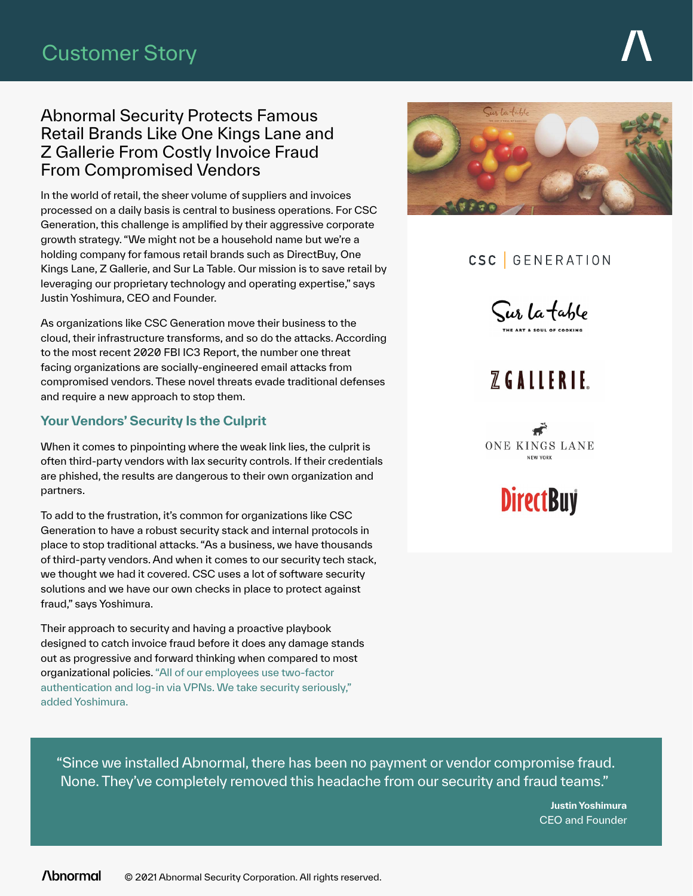#### Abnormal Security Protects Famous Retail Brands Like One Kings Lane and Z Gallerie From Costly Invoice Fraud From Compromised Vendors

In the world of retail, the sheer volume of suppliers and invoices processed on a daily basis is central to business operations. For CSC Generation, this challenge is amplified by their aggressive corporate growth strategy. "We might not be a household name but we're a holding company for famous retail brands such as DirectBuy, One Kings Lane, Z Gallerie, and Sur La Table. Our mission is to save retail by leveraging our proprietary technology and operating expertise," says Justin Yoshimura, CEO and Founder.

As organizations like CSC Generation move their business to the cloud, their infrastructure transforms, and so do the attacks. According to the most recent 2020 FBI IC3 Report, the number one threat facing organizations are socially-engineered email attacks from compromised vendors. These novel threats evade traditional defenses and require a new approach to stop them.

#### **Your Vendors' Security Is the Culprit**

When it comes to pinpointing where the weak link lies, the culprit is often third-party vendors with lax security controls. If their credentials are phished, the results are dangerous to their own organization and partners.

To add to the frustration, it's common for organizations like CSC Generation to have a robust security stack and internal protocols in place to stop traditional attacks. "As a business, we have thousands of third-party vendors. And when it comes to our security tech stack, we thought we had it covered. CSC uses a lot of software security solutions and we have our own checks in place to protect against fraud," says Yoshimura.

Their approach to security and having a proactive playbook designed to catch invoice fraud before it does any damage stands out as progressive and forward thinking when compared to most organizational policies. "All of our employees use two-factor authentication and log-in via VPNs. We take security seriously," added Yoshimura.



## CSC GENERATION

Sur la table

# $Z$  GALLERLE





"Since we installed Abnormal, there has been no payment or vendor compromise fraud. None. They've completely removed this headache from our security and fraud teams."

> **Justin Yoshimura** CEO and Founder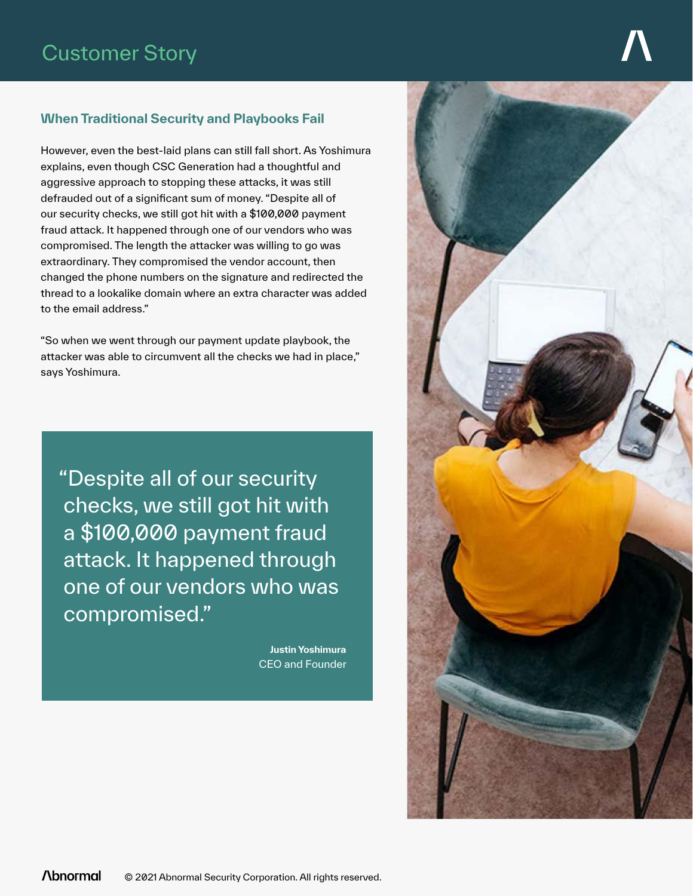#### **When Traditional Security and Playbooks Fail**

However, even the best-laid plans can still fall short. As Yoshimura explains, even though CSC Generation had a thoughtful and aggressive approach to stopping these attacks, it was still defrauded out of a significant sum of money. "Despite all of our security checks, we still got hit with a \$100,000 payment fraud attack. It happened through one of our vendors who was compromised. The length the attacker was willing to go was extraordinary. They compromised the vendor account, then changed the phone numbers on the signature and redirected the thread to a lookalike domain where an extra character was added to the email address."

"So when we went through our payment update playbook, the attacker was able to circumvent all the checks we had in place," says Yoshimura.

"Despite all of our security checks, we still got hit with a \$100,000 payment fraud attack. It happened through one of our vendors who was compromised."

> **Justin Yoshimura** CEO and Founder

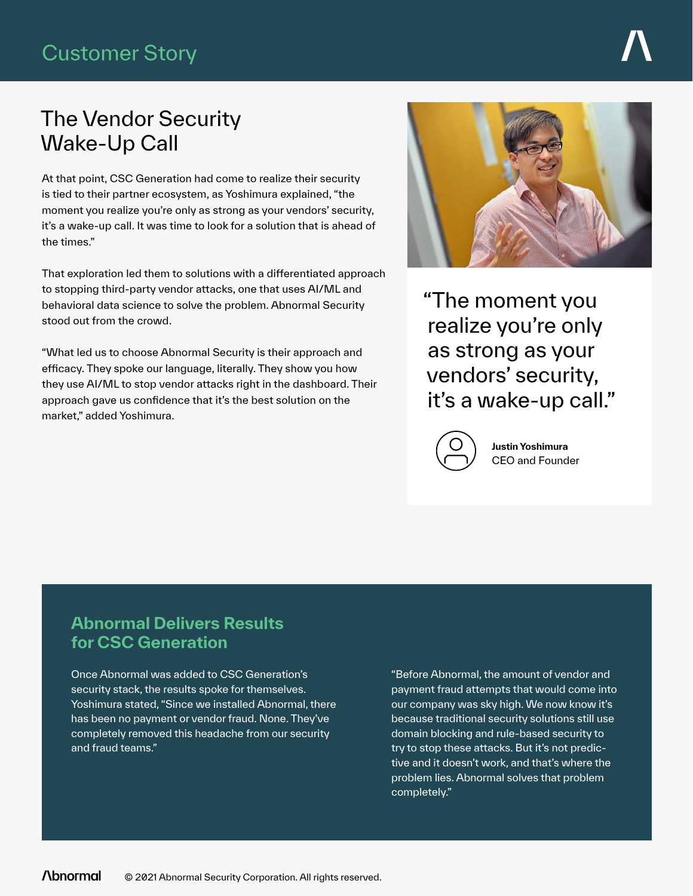## Customer Story

## The Vendor Security Wake-Up Call

At that point, CSC Generation had come to realize their security is tied to their partner ecosystem, as Yoshimura explained, "the moment you realize you're only as strong as your vendors' security, it's a wake-up call. It was time to look for a solution that is ahead of the times."

That exploration led them to solutions with a differentiated approach to stopping third-party vendor attacks, one that uses AI/ML and behavioral data science to solve the problem. Abnormal Security stood out from the crowd.

"What led us to choose Abnormal Security is their approach and efficacy. They spoke our language, literally. They show you how they use AI/ML to stop vendor attacks right in the dashboard. Their approach gave us confidence that it's the best solution on the market," added Yoshimura.



"The moment you realize you're only as strong as your vendors' security, it's a wake-up call."



**Justin Yoshimura** CEO and Founder

## **Abnormal Delivers Results for CSC Generation**

Once Abnormal was added to CSC Generation's security stack, the results spoke for themselves. Yoshimura stated, "Since we installed Abnormal, there has been no payment or vendor fraud. None. They've completely removed this headache from our security and fraud teams."

"Before Abnormal, the amount of vendor and payment fraud attempts that would come into our company was sky high. We now know it's because traditional security solutions still use domain blocking and rule-based security to try to stop these attacks. But it's not predictive and it doesn't work, and that's where the problem lies. Abnormal solves that problem completely."